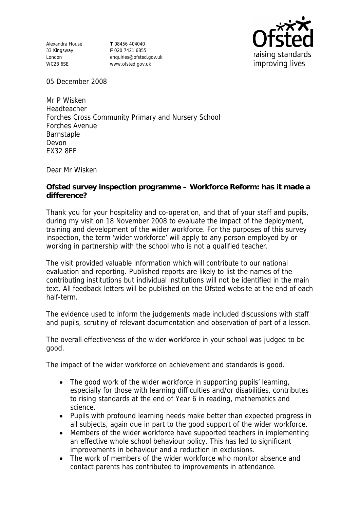Alexandra House 33 Kingsway London WC2B 6SE

**T** 08456 404040 **F** 020 7421 6855 enquiries@ofsted.gov.uk www.ofsted.gov.uk



05 December 2008

Mr P Wisken Headteacher Forches Cross Community Primary and Nursery School Forches Avenue Barnstaple Devon EX32 8EF

Dear Mr Wisken

**Ofsted survey inspection programme – Workforce Reform: has it made a difference?**

Thank you for your hospitality and co-operation, and that of your staff and pupils, during my visit on 18 November 2008 to evaluate the impact of the deployment, training and development of the wider workforce. For the purposes of this survey inspection, the term 'wider workforce' will apply to any person employed by or working in partnership with the school who is not a qualified teacher.

The visit provided valuable information which will contribute to our national evaluation and reporting. Published reports are likely to list the names of the contributing institutions but individual institutions will not be identified in the main text. All feedback letters will be published on the Ofsted website at the end of each half-term.

The evidence used to inform the judgements made included discussions with staff and pupils, scrutiny of relevant documentation and observation of part of a lesson.

The overall effectiveness of the wider workforce in your school was judged to be good.

The impact of the wider workforce on achievement and standards is good.

- The good work of the wider workforce in supporting pupils' learning, especially for those with learning difficulties and/or disabilities, contributes to rising standards at the end of Year 6 in reading, mathematics and science.
- Pupils with profound learning needs make better than expected progress in all subjects, again due in part to the good support of the wider workforce.
- Members of the wider workforce have supported teachers in implementing an effective whole school behaviour policy. This has led to significant improvements in behaviour and a reduction in exclusions.
- The work of members of the wider workforce who monitor absence and contact parents has contributed to improvements in attendance.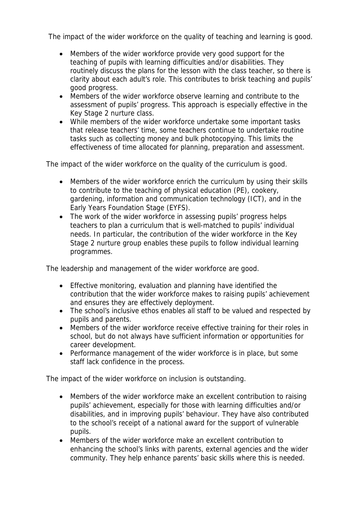The impact of the wider workforce on the quality of teaching and learning is good.

- Members of the wider workforce provide very good support for the teaching of pupils with learning difficulties and/or disabilities. They routinely discuss the plans for the lesson with the class teacher, so there is clarity about each adult's role. This contributes to brisk teaching and pupils' good progress.
- Members of the wider workforce observe learning and contribute to the assessment of pupils' progress. This approach is especially effective in the Key Stage 2 nurture class.
- While members of the wider workforce undertake some important tasks that release teachers' time, some teachers continue to undertake routine tasks such as collecting money and bulk photocopying. This limits the effectiveness of time allocated for planning, preparation and assessment.

The impact of the wider workforce on the quality of the curriculum is good.

- Members of the wider workforce enrich the curriculum by using their skills to contribute to the teaching of physical education (PE), cookery, gardening, information and communication technology (ICT), and in the Early Years Foundation Stage (EYFS).
- The work of the wider workforce in assessing pupils' progress helps teachers to plan a curriculum that is well-matched to pupils' individual needs. In particular, the contribution of the wider workforce in the Key Stage 2 nurture group enables these pupils to follow individual learning programmes.

The leadership and management of the wider workforce are good.

- Effective monitoring, evaluation and planning have identified the contribution that the wider workforce makes to raising pupils' achievement and ensures they are effectively deployment.
- The school's inclusive ethos enables all staff to be valued and respected by pupils and parents.
- Members of the wider workforce receive effective training for their roles in school, but do not always have sufficient information or opportunities for career development.
- Performance management of the wider workforce is in place, but some staff lack confidence in the process.

The impact of the wider workforce on inclusion is outstanding.

- Members of the wider workforce make an excellent contribution to raising pupils' achievement, especially for those with learning difficulties and/or disabilities, and in improving pupils' behaviour. They have also contributed to the school's receipt of a national award for the support of vulnerable pupils.
- Members of the wider workforce make an excellent contribution to enhancing the school's links with parents, external agencies and the wider community. They help enhance parents' basic skills where this is needed.